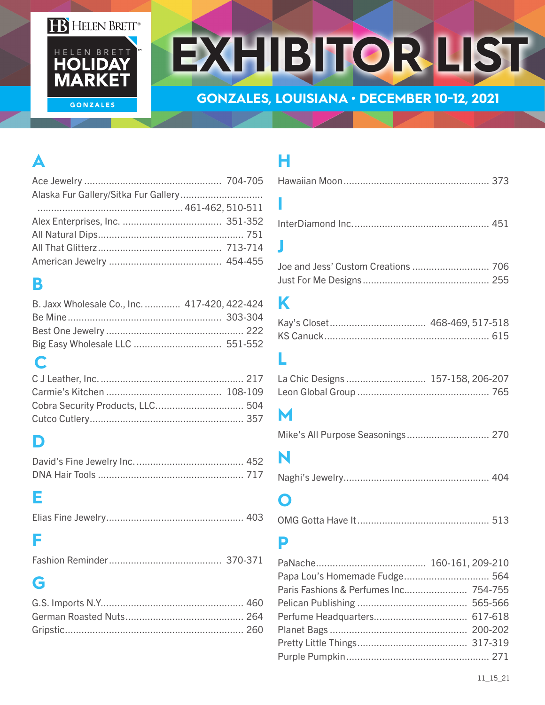#### **FB** HELEN BRETT®



# **EXHIBITOR LIST**

#### **GONZALES, LOUISIANA • DECEMBER 10-12, 2021**

# **A**

# **B**

| B. Jaxx Wholesale Co., Inc.  417-420, 422-424 |  |
|-----------------------------------------------|--|
|                                               |  |
|                                               |  |
|                                               |  |

## **C**

# **D**

#### **E**

|--|--|--|

### **F**

|--|--|

## **G**

# **H**

InterDiamond Inc.................................................. 451

#### **J**

### **K**

#### **L**

## **M**

```
Mike's All Purpose Seasonings .............................. 270
```
# **N**

```
Naghi's Jewelry..................................................... 404
```
## **O**

```
OMG Gotta Have It................................................ 513
```
### **P**